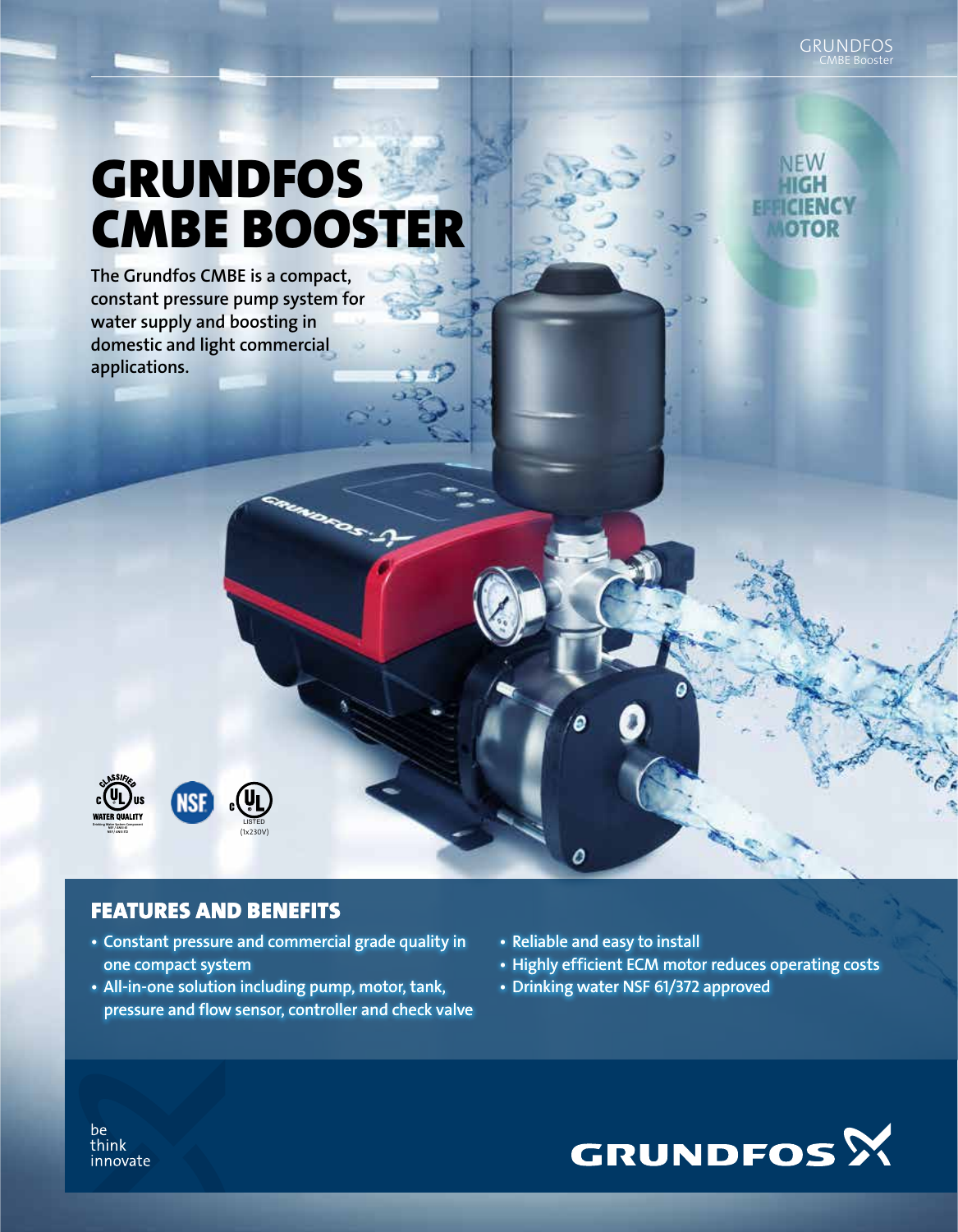CMBE Booster GRUNDFOS

**NEW** 

TEMA 7 оток

# GRUNDFOS CMBE BOOSTER

The Grundfos CMBE is a compact, constant pressure pump system for water supply and boosting in domestic and light commercial applications.



#### LISTED C (1x230V)

## FEATURES AND BENEFITS

- Constant pressure and commercial grade quality in one compact system
- All-in-one solution including pump, motor, tank, pressure and flow sensor, controller and check valve
- Reliable and easy to install

0

- Highly efficient ECM motor reduces operating costs
- Drinking water NSF 61/372 approved



be think innovate